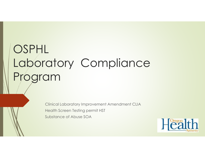# OSPHL Laboratory Compliance Program

Clinical Laboratory Improvement Amendment CLIA Health Screen Testing permit HSTSubstance of Abuse SOA

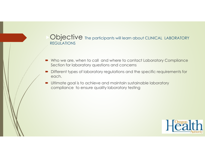#### Objective The participants will learn about CLINICAL LABORATORY REGULATIONS

- -Who we are, when to call and where to contact Laboratory Compliance Section for laboratory questions and concerns
- Different types of laboratory regulations and the specific requirements for each.
- - Ultimate goal is to achieve and maintain sustainable laboratory compliance to ensure quality laboratory testing

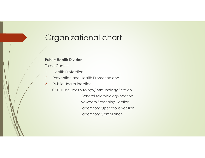# Organizational chart

#### **Public Health Division**

Three Centers

- 1.Health Protection,
- 2.Prevention and Health Promotion and
- 3.Public Health Practice

OSPHL includes Virology/Immunology SectionGeneral Microbiology SectionNewborn Screening Section Laboratory Operations SectionLaboratory Compliance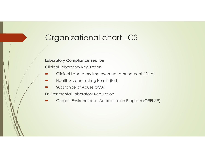# Organizational chart LCS

#### **Laboratory Compliance Section**

Clinical Laboratory Regulation

- -Clinical Laboratory Improvement Amendment (CLIA)
- -Health Screen Testing Permit (HST)
- -Substance of Abuse (SOA)

Environmental Laboratory Regulation

-Oregon Environmental Accreditation Program (ORELAP)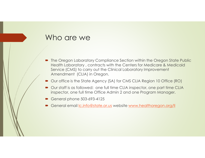#### Who are we

- The Oregon Laboratory Compliance Section within the Oregon State Public<br>Health Laboratory contracts with the Conters for Medicare & Medicaid Health Laboratory , contracts with the Centers for Medicare & Medicaid Service (CMS) to carry out the Clinical Laboratory Improvement Amendment (CLIA) in Oregon.
- -Our office is the State Agency (SA) for CMS CLIA Region 10 Office (RO)
- Our staff is as followed: one full time CLIA inspector, one part time CLIA<br>inspector, one full time Office Admin 2 and one Pregram Manager inspector, one full time Office Admin 2 and one Program Manager.
- -General phone 503-693-4125
- -General email lc.info@state.or.us website www.healthoregon.org/ll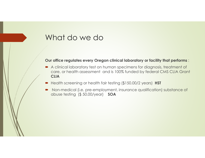#### What do we do

#### **Our office regulates every Oregon clinical laboratory or facility that performs** :

- A clinical laboratory test on human specimens for diagnosis, treatment of<br>Care at bealth assessment, and is 100% funded by federal CMS CLIA Gran care, or health assessment and is 100% funded by federal CMS CLIA Grant **CLIA**
- -Health screening or health fair testing (\$150.00/2 years) **HST**
- - Non-medical (i.e. pre-employment, insurance qualification) substance of abuse testing (\$ 50.00/year) **SOA**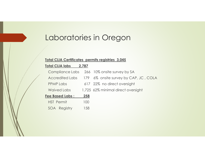# Laboratories in Oregon

#### **Total CLIA Certificates permits registries 3,045**

#### **Total CLIA labs 2,787**

|                         |                    |     | Compliance Labs 266 10% onsite survey by SA           |
|-------------------------|--------------------|-----|-------------------------------------------------------|
|                         |                    |     | Accredited Labs 179 6% onsite survey by CAP, JC, COLA |
|                         | <b>PPMP Labs</b>   |     | 617 22% no direct oversight                           |
|                         | <b>Waived Labs</b> |     | 1,725 62% minimal direct oversight                    |
| <b>Fee Based Labs :</b> |                    | 258 |                                                       |
|                         | <b>HST</b> Permit  | 100 |                                                       |
|                         | SOA Registry       | 158 |                                                       |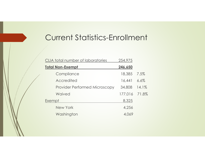### Current Statistics-Enrollment

| CLIA total number of laboratories    | 254,975 |       |
|--------------------------------------|---------|-------|
| <b>Total Non-Exempt</b>              | 246,650 |       |
| Compliance                           | 18,385  | 7.5%  |
| Accredited                           | 16,441  | 6.6%  |
| <b>Provider Performed Microscopy</b> | 34,808  | 14.1% |
| Waived                               | 177,016 | 71.8% |
| Exempt                               | 8,325   |       |
| New York                             | 4,256   |       |
| Washington                           | 4,069   |       |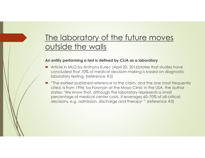# The laboratory of the future moves outside the walls

#### **An entity performing a test is defined by CLIA as a laboratory**

- Article in MLO by Anthony Kurec (April 20, 2016)states that studies have<br>Concluded that <sup>70%</sup> of medical decision making is based on diggnestic concluded that 70% of medical decision-making is based on diagnostic laboratory testing, (reference #2)
- - "The earliest published reference to the claim, and the one most frequently cited, is from 1996, by Forsman at the Mayo Clinic in the USA. the author states: 'We know that, although the laboratory represents a small percentage of medical center costs, it leverages 60–70% of all critical decisions, e.g. admission, discharge and therapy' " (reference #3)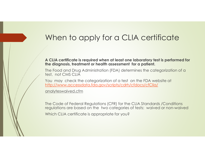### When to apply for a CLIA certificate

**A CLIA certificate is required when at least one laboratory test is performed for the diagnosis, treatment or health assessment for a patient.**

The Food and Drug Administration (FDA) determines the categorization of a test, not CMS CLIA

You may check the categorization of a test on the FDA website at http://www.accessdata.fda.gov/scripts/cdrh/cfdocs/cfClia/

analyteswaived.cfm

The Code of Federal Regulations (CFR) for the CLIA Standards /Conditions regulations are based on the two categories of tests: waived or non-waivedWhich CLIA certificate is appropriate for you?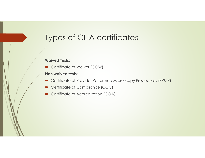### Types of CLIA certificates

#### **Waived Tests**:

■ Certificate of Waiver (COW)

#### **Non waived tests**:

- Certificate of Provider Performed Microscopy Procedures (PPMP)
- Certificate of Compliance (COC)
- Certificate of Accreditation (COA)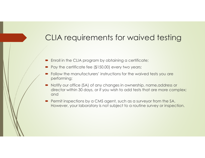### CLIA requirements for waived testing

- -Enroll in the CLIA program by obtaining a certificate;
- Pay the certificate fee (\$150.00) every two years;
- Follow the manufacturers' instructions for the waived tests you are<br>performing: performing;
- - Notify our office (SA) of any changes in ownership, name,address or director within 30 days, or if you wish to add tests that are more complex; and
- Permit inspections by a CMS agent, such as a surveyor from the SA.<br>However, your laboratory is not subject to a routine survey or inspec However, your laboratory is not subject to a routine survey or inspection.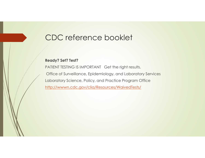### CDC reference booklet

#### **Ready? Set? Test?**

PATIENT TESTING IS IMPORTANT Get the right results. Office of Surveillance, Epidemiology, and Laboratory ServicesLaboratory Science, Policy, and Practice Program Officehttp://wwwn.cdc.gov/clia/Resources/WaivedTests/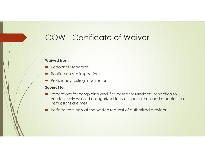### COW - Certificate of Waiver

#### **Waived from**:

- Personnel Standards
- Routine on-site inspections
- Proficiency testing requirements

#### **Subject to:**

- Inspections for complaints and if selected for random\* inspection to<br>Malidate only waived categorized tests are performed and manufacture validate only waived categorized tests are performed and manufacturer instructions are met
- Perform tests only at the written request of authorized provider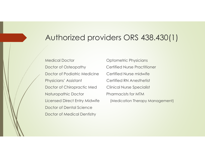### Authorized providers ORS 438.430(1)

Medical Doctor **Canadian Contract Physicians** Doctor of Osteopathy Certified Nurse Practitioner Doctor of Podiatric Medicine Certified Nurse midwifePhysicians' Assistant Certified RN Anesthetist Doctor of Chiropractic Med Clinical Nurse Specialist Naturopathic Doctor Pharmacists for MTM Doctor of Dental ScienceDoctor of Medical Dentistry

Licensed Direct Entry Midwife (Medication Therapy Management)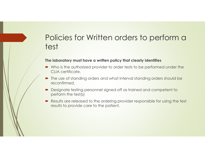### Policies for Written orders to perform a test

#### **The laboratory must have a written policy that clearly identifies**

- Who is the authorized provider to order tests to be performed under the CLLA cortificator CLIA certificate.
- The use of standing orders and what interval standing orders should be<br>reconfirmed reconfirmed.
- Designate testing personnel signed off as trained and competent to nerform the test(s) perform the test(s)
- Results are released to the ordering provider responsible for using the test<br>results to provide care to the patient results to provide care to the patient.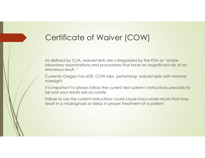### Certificate of Waiver (COW)

As defined by CLIA, waived tests are categorized by the FDA as "simple laboratory examinations and procedures that have an insignificant risk of an erroneous result. "

Currently Oregon has 62% COW labs performing waived tests with minimal oversight.

It is important to always follow the current test system's instructions precisely to be sure your results are accurate.

Failure to use the current instructions could cause inaccurate results that may result in a misdiagnosis or delay in proper treatment of a patient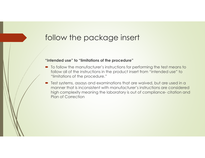### follow the package insert

#### **"Intended use" to "limitations of the procedure"**

- To follow the manufacturer's instructions for performing the test means to<br>follow all of the instructions in the product insert from "intended use" to follow all of the instructions in the product insert from "intended use" to "limitations of the procedure."
- -Test systems, assays and examinations that are waived, but are used in a manner that is inconsistent with manufacturer's instructions are considered high complexity meaning the laboratory is out of compliance-citation and<br>Plan of Correction Plan of Correction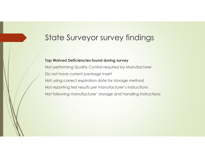### State Surveyor survey findings

#### **Top Waived Deficiencies found during survey**

Not performing Quality Control required by ManufacturerDo not have current package insertNot using correct expiration date for storage methodNot reporting test results per manufacturer's instructionsNot following manufacturer' storage and handling instructions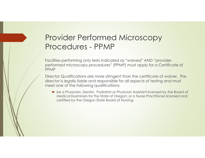### Provider Performed Microscopy Procedures - PPMP

Facilities performing only tests indicated as "waived" AND "providerperformed microscopy procedures" (PPMP) must apply for a Certificate of PPMP

Director Qualifications are more stringent than the certificate of waiver. The director is legally liable and responsible for all aspects of testing and must meet one of the following qualifications:

• be a Physician, Dentist, Podiatrist or Physician Assistant licensed by the Board of<br>Medical Examiners for the State of Oregon: or a Nurse Practitioner licensed and Medical Examiners for the State of Oregon; or a Nurse Practitioner licensed and certified by the Oregon State Board of Nursing.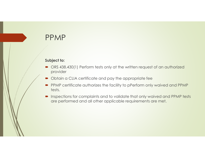### PPMP

#### **Subject to:**

- ORS 438.430(1) Perform tests only at the written request of an authorized<br>provider provider
- $\textcolor{blue}\bullet$  Obtain a CLIA certificate and pay the appropriate fee
- PPMP certificate authorizes the facility to pPerform only waived and PPMP tests.
- - Inspections for complaints and to validate that only waived and PPMP tests are performed and all other applicable requirements are met.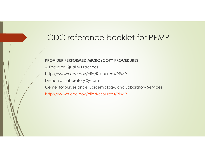### CDC reference booklet for PPMP

#### **PROVIDER PERFORMED MICROSCOPY PROCEDURES**

A Focus on Quality Practiceshttp://wwwn.cdc.gov/clia/Resources/PPMPDivision of Laboratory SystemsCenter for Surveillance, Epidemiology, and Laboratory Serviceshttp://wwwn.cdc.gov/clia/Resources/PPMP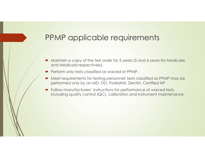- - Maintain a copy of the test order for 2 years (5 and 6 years for Medicare and Medicaid respectively).
- Perform only tests classified as waived or PPMP.
- - Meet requirements for testing personnel: tests classified as PPMP may be performed only by an MD, DO, Podiatrist, Dentist, Certified NP
- Follow manufacturers' instructions for performance of waived tests<br>including quality control (OC), calibration and instrument mainteng including quality control (QC), calibration and instrument maintenance.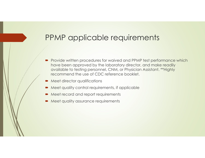- - Provide written procedures for waived and PPMP test performance which have been approved by the laboratory director, and make readily available to testing personnel, CNM, or Physician Assistant. \*\*Highly recommend the use of CDC reference booklet.
- -Meet director qualifications
- $\quad \blacktriangleright$  Meet quality control requirements, if applicable
- -Meet record and report requirements
- -**Meet quality assurance requirements**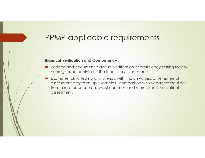#### **Biannual verification and Competency**

- Perform and document biannual verification or proficiency testing for any<br>nonrogulated analyte on the laboratory's test monu nonregulated analyte on the laboratory's test menu.
- - Examples: blind testing of materials with known values, other external assessment programs, split samples , comparison with Kodachrome slides from a reference source. Most common and more practical, patient assessment.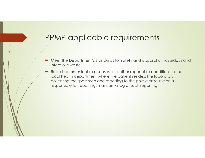- - Meet the Department's standards for safety and disposal of hazardous and infectious waste.
- - Report communicable diseases and other reportable conditions to the local health department where the patient resides; the laboratory collecting the specimen and reporting to the physician/clinician is responsible for reporting; maintain a log of such reporting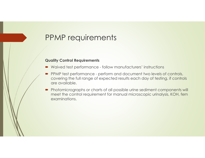### PPMP requirements

#### **Quality Control Requirements**

- ➡ Waived test performance follow manufacturers' instructions
- - PPMP test performance - perform and document two levels of controls, covering the full range of expected results each day of testing, if controls are available.
- Photomicrographs or charts of all possible urine sediment components will<br>meet the control requirement for manual microscopic urinalysis. KOH, fern meet the control requirement for manual microscopic urinalysis, KOH, fern examinations.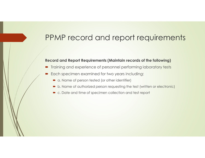### PPMP record and report requirements

#### **Record and Report Requirements (Maintain records of the following)**

- -Training and experience of personnel performing laboratory tests
- - Each specimen examined for two years including:
	- $\bullet$  a. Name of person tested (or other identifier)
	- b. Name of authorized person requesting the test (written or electronic)
	- $\quad \bullet \,$  c. Date and time of specimen collection and test report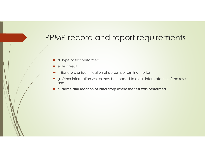### PPMP record and report requirements

- d. Type of test performed
- e. Test result
- f. Signature or identification of person performing the test
- g. Other information which may be needed to aid in interpretation of the result, and
- h. **Name and location of laboratory where the test was performed**.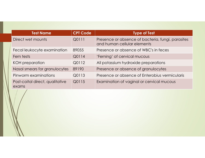| <b>Test Name</b>                         | <b>CPT Code</b> | <b>Type of Test</b>                                                              |
|------------------------------------------|-----------------|----------------------------------------------------------------------------------|
| Direct wet mounts                        | Q0111           | Presence or absence of bacteria, fungi, parasites<br>and human cellular elements |
| Fecal leukocyte examination              | 89055           | Presence or absence of WBC's in feces                                            |
| Fern tests                               | Q0114           | 'Ferning' of cervical mucous                                                     |
| <b>KOH</b> preparation                   | Q0112           | All potassium hydroxide preparations                                             |
| Nasal smears for granulocytes            | 89190           | Presence or absence of granulocytes                                              |
| Pinworm examinations                     | Q0113           | Presence or absence of Enterobius vermicularis                                   |
| Post-coital direct, qualitative<br>exams | Q0115           | Examination of vaginal or cervical mucous                                        |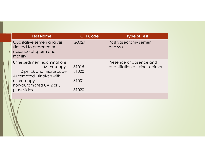| <b>Test Name</b>                                                                                                                                                | <b>CPT Code</b>                  | <b>Type of Test</b>                                       |
|-----------------------------------------------------------------------------------------------------------------------------------------------------------------|----------------------------------|-----------------------------------------------------------|
| Qualitative semen analysis<br>(limited to presence or<br>absence of sperm and<br>motility)                                                                      | G0027                            | Post vasectomy semen<br>analysis                          |
| Urine sediment examinations:<br>Microscopy-<br>Dipstick and microscopy-<br>Automated urinalysis with<br>microscopy-<br>non-automated UA 2 or 3<br>glass slides- | 81015<br>81000<br>81001<br>81020 | Presence or absence and<br>quantitation of urine sediment |
|                                                                                                                                                                 |                                  |                                                           |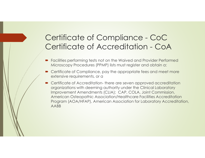# Certificate of Compliance - CoCCertificate of Accreditation - CoA

- Facilities performing tests not on the Waived and Provider Performed<br>Microscopy Procedures (PPMP) lists must register and obtain a: Microscopy Procedures (PPMP) lists must register and obtain a:
- Certificate of Compliance, pay the appropriate fees and meet more extensive requirements, or a
- - Certificate of Accreditation- there are seven approved accreditation organizations with deeming authority under the Clinical Laboratory Improvement Amendments (CLIA); CAP, COLA, Joint Commission, American Osteopathic Association/Healthcare Facilities Accreditation Program (AOA/HFAP), American Association for Laboratory Accreditation, AABB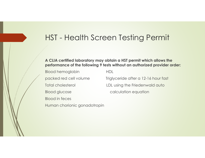# HST - Health Screen Testing Permit

#### **A CLIA certified laboratory may obtain a HST permit which allows the performance of the following 9 tests without an authorized provider order:**

Blood hemoglobin HDL

Blood in feces

Human chorionic gonadotropin

packed red cell volume Triglyceride after a 12-16 hour fastTotal cholesterol **LDL** using the Friedenwald auto

Blood glucose calculation equation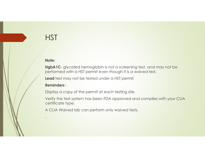#### **Note:**

**HgbA1C**- glycated hemoglobin is not a screening test, and may not be performed with a HST permit even though it is a waived test.

**Lead** test may not be tested under a HST permit

#### **Reminders** :

Display a copy of the permit at each testing site.

Verify the test system has been FDA approved and complies with your CLIA certificate type.

A CLIA Waived lab can perform only waived tests.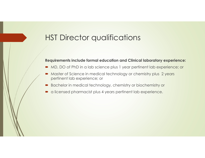# HST Director qualifications

#### **Requirements include formal education and Clinical laboratory experience:**

- $\blacksquare$  MD, DO of PhD in a lab science plus 1 year pertinent lab experience; or
- - Master of Science in medical technology or chemistry plus 2 years pertinent lab experience; or
- -Bachelor in medical technology, chemistry or biochemistry or
- a licensed pharmacist plus 4 years pertinent lab experience.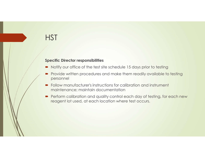#### **Specific Director responsibilities**

- -Notify our office of the test site schedule 15 days prior to testing
- - Provide written procedures and make them readily available to testing personnel
- - Follow manufacturer's instructions for calibration and instrument maintenance; maintain documentation
- Perform calibration and quality control each day of testing, for each new<br>reasont let used, at each location where test eccurs reagent lot used, at each location where test occurs.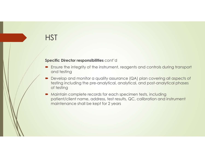#### **Specific Director responsibilities** cont'd

- Ensure the integrity of the instrument, reagents and controls during transport and testing
- - Develop and monitor a quality assurance (QA) plan covering all aspects of testing including the pre-analytical, analytical, and post-analytical phases of testing
- - Maintain complete records for each specimen tests, including patient/client name, address, test results, QC, calibration and instrument maintenance shall be kept for 2 years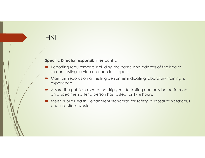#### **Specific Director responsibilities** cont'd

- Reporting requirements including the name and address of the health serioon to ting service on each tost report screen testing service on each test report.
- - Maintain records on all testing personnel indicating laboratory training & experience
- Assure the public is aware that triglyceride testing can only be performed<br>an a specimen after a person has fasted for 1,14 hours on a specimen after a person has fasted for 1-16 hours.
- Meet Public Health Department standards for safety, disposal of hazardous<br>and infectious waste and infectious waste.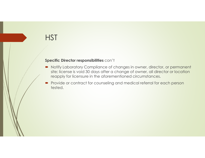#### **Specific Director responsibilities** con't

- Notify Laboratory Compliance of changes in owner, director, or permanent<br>site: license is void 30 days after a change of ewner, all director or location site; license is void 30 days after a change of owner, all director or location reapply for licensure in the aforementioned circumstances.
- - Provide or contract for counseling and medical referral for each person tested.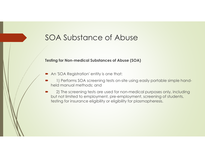### SOA Substance of Abuse

#### **Testing for Non-medical Substances of Abuse (SOA)**

- -An 'SOA Registration' entity is one that:
- - 1) Performs SOA screening tests on-site using easily portable simple handheld manual methods; and
- - 2) The screening tests are used for non-medical purposes only, including but not limited to employment, pre-employment, screening of students, testing for insurance eligibility or eligibility for plasmapheresis.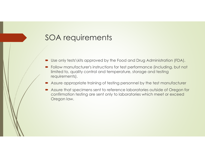### SOA requirements

- -Use only tests\kits approved by the Food and Drug Administration (FDA).
- Follow manufacturer's instructions for test performance (including, but not<br>limited to quality control and temperature sterage and testing limited to, quality control and temperature, storage and testing requirements).
- -Assure appropriate training of testing personnel by the test manufacturer
- Assure that specimens sent to reference laboratories outside of Oregon for<br>Confirmation testing are sent only to laboratories which meet or exceed confirmation testing are sent only to laboratories which meet or exceed Oregon law.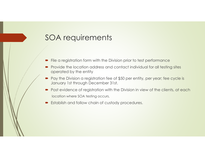### SOA requirements

- -File a registration form with the Division prior to test performance
- - Provide the location address and contact individual for all testing sites operated by the entity
- Pay the Division a registration fee of \$50 per entity, per year; fee cycle is<br>lanuary 1st through December 31st January 1st through December 31st.
- Post evidence of registration with the Division in view of the clients, at each location where SOA testing occurs.
- $\quad \blacktriangleright \;$  Establish and follow chain of custody procedures.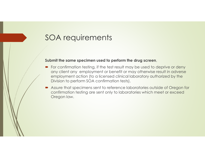### SOA requirements

#### **Submit the same specimen used to perform the drug screen**,

- For confirmation testing, if the test result may be used to deprive or deny<br>any client any employment or benefit or may athenyise result in adverse any client any employment or benefit or may otherwise result in adverse employment action (to a licensed clinical laboratory authorized by the Division to perform SOA confirmation tests).
- Assure that specimens sent to reference laboratories outside of Oregon for<br>Confirmation tosting are sent only to laboratories which moot ar exceed confirmation testing are sent only to laboratories which meet or exceed Oregon law.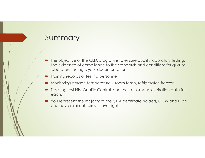### Summary

- The objective of the CLIA program is to ensure quality laboratory testing.<br>The exidence of compliance to the standards and conditions for quality. The evidence of compliance to the standards and conditions for quality laboratory testing is your documentation:
- -Training records of testing personnel
- -Monitoring storage temperature - room temp, refrigerator, freezer
- Tracking test kits, Quality Control and the lot number, expiration date for each.
- You represent the majority of the CLIA certificate holders, COW and PPMP<br>and have minimal "direct" eversiant and have minimal "direct" oversight.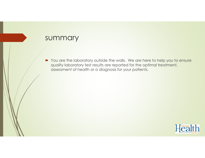#### summary

• You are the laboratory outside the walls. We are here to help you to ensure auglity laboratory tost results are reported for the entimal treatment quality laboratory test results are reported for the optimal treatment, assessment of health or a diagnosis for your patients.

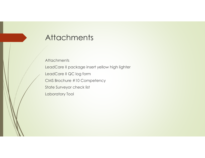### **Attachments**

**Attachments** LeadCare II package insert yellow high lighter

LeadCare II QC log form

CMS Brochure #10 Competency

State Surveyor check list

Laboratory Tool